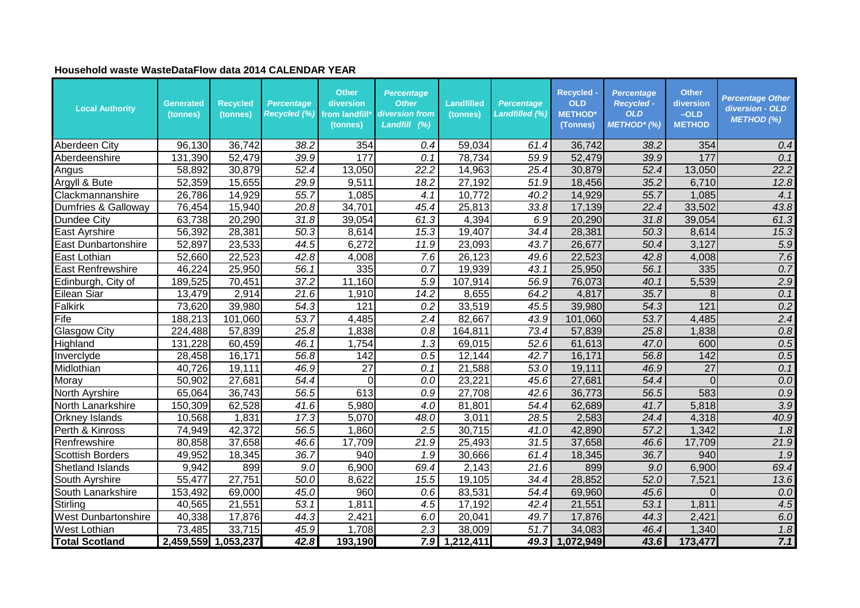## **Household waste WasteDataFlow data 2014 CALENDAR YEAR**

| <b>Local Authority</b>     | Generated<br>(tonnes) | <b>Recycled</b><br>(tonnes) | <b>Percentage</b><br><b>Recycled (%)</b> | <b>Other</b><br>diversion<br>from landfill*<br>(tonnes) | <b>Percentage</b><br><b>Other</b><br>diversion from<br>Landfill (%) | <b>Landfilled</b><br>(tonnes) | <b>Percentage</b><br>Landfilled (%) | <b>Recycled -</b><br><b>OLD</b><br><b>METHOD*</b><br>(Tonnes) | <b>Percentage</b><br><b>Recycled -</b><br><b>OLD</b><br>METHOD* (%) | <b>Other</b><br>diversion<br>$-OLD$<br><b>METHOD</b> | <b>Percentage Other</b><br>diversion - OLD<br>METHOD (%) |
|----------------------------|-----------------------|-----------------------------|------------------------------------------|---------------------------------------------------------|---------------------------------------------------------------------|-------------------------------|-------------------------------------|---------------------------------------------------------------|---------------------------------------------------------------------|------------------------------------------------------|----------------------------------------------------------|
| Aberdeen City              | 96,130                | 36,742                      | 38.2                                     | 354                                                     | 0.4                                                                 | 59,034                        | 61.4                                | 36,742                                                        | 38.2                                                                | 354                                                  | 0.4                                                      |
| Aberdeenshire              | 131,390               | 52,479                      | 39.9                                     | 177                                                     | 0.1                                                                 | 78,734                        | 59.9                                | 52,479                                                        | 39.9                                                                | 177                                                  | 0.1                                                      |
| Angus                      | 58,892                | 30,879                      | 52.4                                     | 13,050                                                  | $\overline{22.2}$                                                   | 14,963                        | 25.4                                | 30,879                                                        | 52.4                                                                | 13,050                                               | 22.2                                                     |
| Argyll & Bute              | 52,359                | 15,655                      | 29.9                                     | 9,511                                                   | 18.2                                                                | 27,192                        | 51.9                                | 18,456                                                        | 35.2                                                                | 6,710                                                | 12.8                                                     |
| Clackmannanshire           | 26,786                | 14,929                      | 55.7                                     | 1,085                                                   | 4.1                                                                 | 10,772                        | 40.2                                | 14,929                                                        | 55.7                                                                | 1,085                                                | 4.1                                                      |
| Dumfries & Galloway        | 76,454                | 15,940                      | 20.8                                     | 34,701                                                  | 45.4                                                                | 25,813                        | 33.8                                | 17,139                                                        | 22.4                                                                | 33,502                                               | 43.8                                                     |
| Dundee City                | 63,738                | 20,290                      | $\overline{31.8}$                        | 39,054                                                  | 61.3                                                                | 4,394                         | 6.9                                 | 20,290                                                        | 31.8                                                                | 39,054                                               | 61.3                                                     |
| East Ayrshire              | 56,392                | 28,381                      | 50.3                                     | 8,614                                                   | 15.3                                                                | 19,407                        | 34.4                                | 28,381                                                        | 50.3                                                                | 8,614                                                | 15.3                                                     |
| East Dunbartonshire        | 52,897                | 23,533                      | 44.5                                     | 6,272                                                   | 11.9                                                                | 23,093                        | 43.7                                | 26,677                                                        | 50.4                                                                | 3,127                                                | 5.9                                                      |
| East Lothian               | 52,660                | 22,523                      | 42.8                                     | 4,008                                                   | 7.6                                                                 | 26,123                        | 49.6                                | 22,523                                                        | 42.8                                                                | 4,008                                                | 7.6                                                      |
| <b>East Renfrewshire</b>   | 46,224                | 25,950                      | 56.1                                     | 335                                                     | 0.7                                                                 | 19,939                        | 43.1                                | 25,950                                                        | 56.1                                                                | 335                                                  | 0.7                                                      |
| Edinburgh, City of         | 189,525               | 70,451                      | 37.2                                     | 11,160                                                  | 5.9                                                                 | 107,914                       | 56.9                                | 76,073                                                        | 40.1                                                                | 5,539                                                | 2.9                                                      |
| Eilean Siar                | 13,479                | 2,914                       | 21.6                                     | 1,910                                                   | 14.2                                                                | 8,655                         | 64.2                                | 4,817                                                         | 35.7                                                                | 8                                                    | 0.1                                                      |
| <b>Falkirk</b>             | 73,620                | 39,980                      | $\overline{54.3}$                        | 121                                                     | 0.2                                                                 | 33,519                        | 45.5                                | 39,980                                                        | 54.3                                                                | $\overline{121}$                                     | 0.2                                                      |
| Fife                       | 188,213               | 101,060                     | 53.7                                     | 4,485                                                   | 2.4                                                                 | 82,667                        | 43.9                                | 101,060                                                       | 53.7                                                                | 4,485                                                | 2.4                                                      |
| <b>Glasgow City</b>        | 224,488               | 57,839                      | 25.8                                     | 1,838                                                   | 0.8                                                                 | 164,811                       | 73.4                                | 57,839                                                        | 25.8                                                                | 1,838                                                | 0.8                                                      |
| Highland                   | 131,228               | 60,459                      | 46.1                                     | 1,754                                                   | 1.3                                                                 | 69,015                        | 52.6                                | 61,613                                                        | 47.0                                                                | 600                                                  | 0.5                                                      |
| Inverclyde                 | 28,458                | 16,171                      | 56.8                                     | 142                                                     | 0.5                                                                 | 12,144                        | 42.7                                | 16,171                                                        | 56.8                                                                | 142                                                  | 0.5                                                      |
| Midlothian                 | 40,726                | 19,111                      | 46.9                                     | 27                                                      | 0.1                                                                 | 21,588                        | 53.0                                | 19,111                                                        | 46.9                                                                | 27                                                   | 0.1                                                      |
| Moray                      | 50,902                | 27,681                      | $\overline{54.4}$                        | 0                                                       | 0.0                                                                 | 23,221                        | 45.6                                | 27,681                                                        | 54.4                                                                | $\overline{0}$                                       | 0.0                                                      |
| North Ayrshire             | 65,064                | 36,743                      | 56.5                                     | 613                                                     | 0.9                                                                 | 27,708                        | 42.6                                | 36,773                                                        | 56.5                                                                | 583                                                  | 0.9                                                      |
| North Lanarkshire          | 150,309               | 62,528                      | 41.6                                     | 5,980                                                   | 4.0                                                                 | 81,801                        | 54.4                                | 62,689                                                        | 41.7                                                                | 5,818                                                | $\overline{3.9}$                                         |
| <b>Orkney Islands</b>      | 10,568                | 1,831                       | 17.3                                     | 5,070                                                   | 48.0                                                                | 3,011                         | 28.5                                | 2,583                                                         | 24.4                                                                | 4,318                                                | 40.9                                                     |
| Perth & Kinross            | 74,949                | 42,372                      | 56.5                                     | 1,860                                                   | 2.5                                                                 | 30,715                        | 41.0                                | 42,890                                                        | 57.2                                                                | 1,342                                                | 1.8                                                      |
| Renfrewshire               | 80,858                | 37,658                      | 46.6                                     | 17,709                                                  | 21.9                                                                | 25,493                        | 31.5                                | 37,658                                                        | 46.6                                                                | 17,709                                               | 21.9                                                     |
| <b>Scottish Borders</b>    | 49,952                | 18,345                      | 36.7                                     | 940                                                     | 1.9                                                                 | 30,666                        | 61.4                                | 18,345                                                        | 36.7                                                                | 940                                                  | 1.9                                                      |
| <b>Shetland Islands</b>    | 9,942                 | 899                         | 9.0                                      | 6,900                                                   | 69.4                                                                | 2,143                         | 21.6                                | 899                                                           | 9.0                                                                 | 6,900                                                | 69.4                                                     |
| <b>South Ayrshire</b>      | 55,477                | 27,751                      | 50.0                                     | 8,622                                                   | 15.5                                                                | 19,105                        | 34.4                                | 28,852                                                        | 52.0                                                                | 7,521                                                | 13.6                                                     |
| South Lanarkshire          | 153,492               | 69,000                      | 45.0                                     | 960                                                     | 0.6                                                                 | 83,531                        | 54.4                                | 69,960                                                        | 45.6                                                                | $\Omega$                                             | 0.0                                                      |
| Stirling                   | 40,565                | 21,551                      | 53.1                                     | 1,811                                                   | 4.5                                                                 | 17,192                        | 42.4                                | 21,551                                                        | 53.1                                                                | 1,811                                                | 4.5                                                      |
| <b>West Dunbartonshire</b> | 40,338                | 17,876                      | 44.3                                     | 2,421                                                   | 6.0                                                                 | 20,041                        | 49.7                                | 17,876                                                        | 44.3                                                                | 2,421                                                | 6.0                                                      |
| <b>West Lothian</b>        | 73,485                | 33,715                      | 45.9                                     | 1,708                                                   | 2.3                                                                 | 38,009                        | 51.7                                | 34,083                                                        | 46.4                                                                | 1,340                                                | 1.8                                                      |
| <b>Total Scotland</b>      | 2,459,559             | ,053,237<br>1               | 42.8                                     | 193,190                                                 | 7.9 <sub>l</sub>                                                    | 1,212,411                     | 49.3                                | 1.072,949                                                     | 43.6                                                                | 173,477                                              | 7.1                                                      |